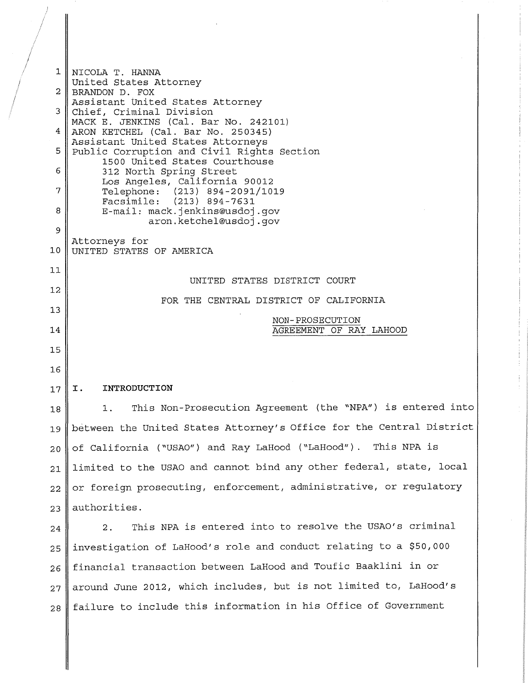1 NICOLA T. HANNA United States Attorney  $2$  BRANDON D. FOX Assistant United States Attorney 3 Chief, Criminal Division MACKE. JENKINS (Cal. Bar No. 242101) 4 ARON KETCHEL (Cal. Bar No. 250345) Assistant United States Attorneys 5 Public Corruption and Civil Rights Section 1500 United States Courthouse 6 312 North Spring Street Los Angeles, California 90012<br>Telephone: (213) 894-2091/10 7 Telephone: (213) 894-2091/1019<br>Facsimile: (213) 894-7631 Facsimile: (213) 894-7631 8 || E-mail: mack.jenkins@usdoj.gov aron.ketchel@usdoj.gov 9 Attorneys for 10 UNITED STATES OF AMERICA 11 12 13 14 15 16  $17$  | I. 18 UNITED STATES DISTRICT COURT FOR THE CENTRAL DISTRICT OF CALIFORNIA NON-PROSECUTION AGREEMENT OF RAY LAHOOD **INTRODUCTION**  1. This Non-Prosecution Agreement (the "NPA") is entered into 19 between the United States Attorney's Office for the Central District 20 of California ("USAO") and Ray LaHood ("LaHood"). This NPA is 21 limited to the USAO and cannot bind any other federal, state, local 22 | or foreign prosecuting, enforcement, administrative, or regulatory  $23$  authorities.  $24$  | 2. This NPA is entered into to resolve the USAO's criminal 25 investigation of LaHood's role and conduct relating to a \$50,000 26 | financial transaction between LaHood and Toufic Baaklini in or 27 || around June 2012, which includes, but is not limited to, LaHood's 28 | failure to include this information in his Office of Government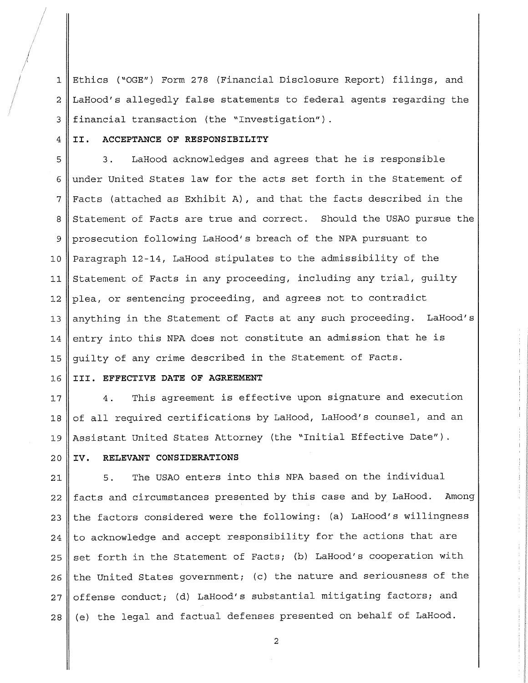1 Ethics ("OGE") Form 278 (Financial Disclosure Report) filings, and 2 LaHood's allegedly false statements to federal agents regarding the 3 financial transaction (the "Investigation").

#### <sup>4</sup>**II. ACCEPTANCE OF RESPONSIBILITY**

I I

> 5 6 7 8 9 10 11 12 13 14 15 3. LaHood acknowledges and agrees that he is responsible under United States law for the acts set forth in the Statement of Facts (attached as Exhibit A), and that the facts described in the Statement of Facts are true and correct. Should the USAO pursue the prosecution following LaHood's breach of the NPA pursuant to Paragraph 12-14, LaHood stipulates to the admissibility of the Statement of Facts in any proceeding, including any trial, guilty plea, or sentencing proceeding, and agrees not to contradict anything in the Statement of Facts at any such proceeding. LaHood's entry into this NPA does not constitute an admission that he is guilty of any crime described in the Statement of Facts.

#### 16 **III. EFFECTIVE DATE OF AGREEMENT**

17 18 19 4. This agreement is effective upon signature and execution of all required certifications by LaHood, LaHood's counsel, and an Assistant United States Attorney (the "Initial Effective Date").

#### **IV. RELEVANT CONSIDERATIONS**

20

21 5. The USAO enters into this NPA based on the individual 22 | facts and circumstances presented by this case and by LaHood. Among 23  $\parallel$  the factors considered were the following: (a) LaHood's willingness  $24$  to acknowledge and accept responsibility for the actions that are  $25$  set forth in the Statement of Facts; (b) LaHood's cooperation with 26  $\parallel$  the United States government; (c) the nature and seriousness of the 27 || offense conduct; (d) LaHood's substantial mitigating factors; and  $28$  (e) the legal and factual defenses presented on behalf of LaHood.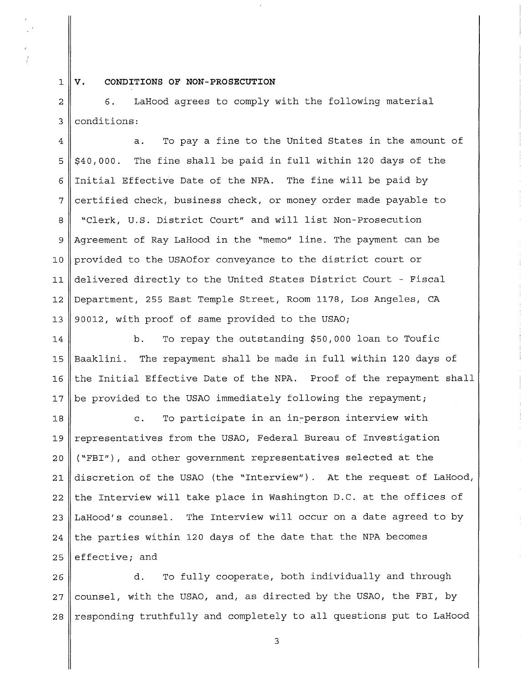$1 \parallel v.$ 

## **CONDITIONS OF NON-PROSECUTION**

2 6. LaHood agrees to comply with the following material 3 conditions:

 $4 \parallel$  a. To pay a fine to the United States in the amount of  $5$   $\frac{1}{2}$  \$40,000. The fine shall be paid in full within 120 days of the 6 Initial Effective Date of the NPA. The fine will be paid by  $7$  certified check, business check, or money order made payable to 8 "Clerk, U.S. District Court" and will list Non-Prosecution 9 Agreement of Ray LaHood in the "memo" line. The payment can be 10 provided to the USAOfor conveyance to the district court or 11 delivered directly to the United States District Court - Fiscal 12 Department, 255 East Temple Street, Room 1178, Los Angeles, CA 13 || 90012, with proof of same provided to the USAO;

14 || b. To repay the outstanding \$50,000 loan to Toufic 15 Baaklini. The repayment shall be made in full within 120 days of  $16$  the Initial Effective Date of the NPA. Proof of the repayment shall 17 | be provided to the USAO immediately following the repayment;

18 c. To participate in an in-person interview with 19 representatives from the USAO, Federal Bureau of Investigation 20 ("FBI"), and other government representatives selected at the 21 discretion of the USAO (the "Interview"). At the request of LaHood,  $22$  the Interview will take place in Washington D.C. at the offices of 23 LaHood's counsel. The Interview will occur on a date agreed to by 24 the parties within 120 days of the date that the NPA becomes 25 effective; and

26 d. To fully cooperate, both individually and through  $27$  counsel, with the USAO, and, as directed by the USAO, the FBI, by  $28$  responding truthfully and completely to all questions put to LaHood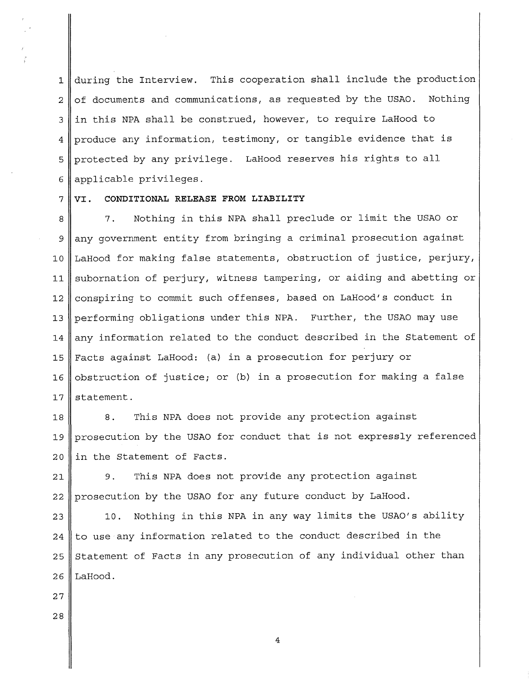1 during the Interview. This cooperation shall include the production  $2 \parallel$  of documents and communications, as requested by the USAO. Nothing  $3$  in this NPA shall be construed, however, to require LaHood to 4 produce any information, testimony, or tangible evidence that is 5 protected by any privilege. LaHood reserves his rights to all 6 applicable privileges.

7 **VI. CONDITIONAL RELEASE FROM LIABILITY** 

8 7. Nothing in this NPA shall preclude or limit the USAO or  $9$  any government entity from bringing a criminal prosecution against 10 LaHood for making false statements, obstruction of justice, perjury, 11 || subornation of perjury, witness tampering, or aiding and abetting or 12 conspiring to commit such offenses, based on LaHood's conduct in 13 performing obligations under this NPA. Further, the USAO may use 14 || any information related to the conduct described in the Statement of 15 Facts against LaHood: (a) in a prosecution for perjury or 16 obstruction of justice; or (b) in a prosecution for making a false 17  $\parallel$  statement.

18 8. This NPA does not provide any protection against 19 prosecution by the USAO for conduct that is not expressly referenced  $20$  in the Statement of Facts.

21 || 9. This NPA does not provide any protection against 22 prosecution by the USAO for any future conduct by LaHood.

23 || 10. Nothing in this NPA in any way limits the USAO's ability 24 to use any information related to the conduct described in the  $25$  Statement of Facts in any prosecution of any individual other than  $26$  LaHood.

- **27**
- **28**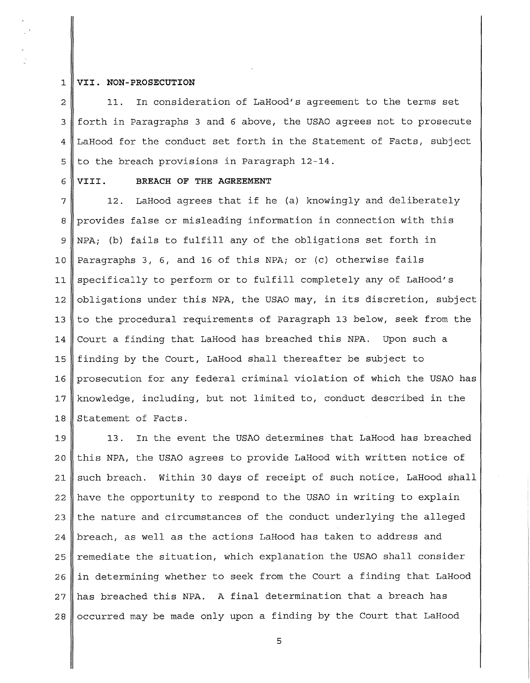## 1 **VII. NON-PROSECUTION**

 $2 \parallel$  11. In consideration of LaHood's agreement to the terms set 3 forth in Paragraphs 3 and 6 above, the USAO agrees not to prosecute 4 LaHood for the conduct set forth in the Statement of Facts, subject 5 to the breach provisions in Paragraph 12-14.

#### <sup>6</sup>**VIII. BREACH OF THE AGREEMENT**

 $7$  | 12. LaHood agrees that if he (a) knowingly and deliberately 8 provides false or misleading information in connection with this 9  $\parallel$  NPA; (b) fails to fulfill any of the obligations set forth in 10 Paragraphs 3, 6, and 16 of this NPA; or (c) otherwise fails 11 specifically to perform or to fulfill completely any of LaHood's 12  $\vert$  obligations under this NPA, the USAO may, in its discretion, subject 13 to the procedural requirements of Paragraph 13 below, seek from the 14 Court a finding that LaHood has breached this NPA. Upon such a 15 finding by the Court, LaHood shall thereafter be subject to 16 prosecution for any federal criminal violation of which the USAO has 17 | knowledge, including, but not limited to, conduct described in the 18 Statement of Facts.

19 13. In the event the USAO determines that LaHood has breached 20 this NPA, the USAO agrees to provide LaHood with written notice of  $21$  such breach. Within 30 days of receipt of such notice, LaHood shall 22 || have the opportunity to respond to the USAO in writing to explain 23 the nature and circumstances of the conduct underlying the alleged 24  $\parallel$  breach, as well as the actions LaHood has taken to address and 25 remediate the situation, which explanation the USAO shall consider  $26$  in determining whether to seek from the Court a finding that LaHood 27 has breached this NPA. A final determination that a breach has  $28$  occurred may be made only upon a finding by the Court that LaHood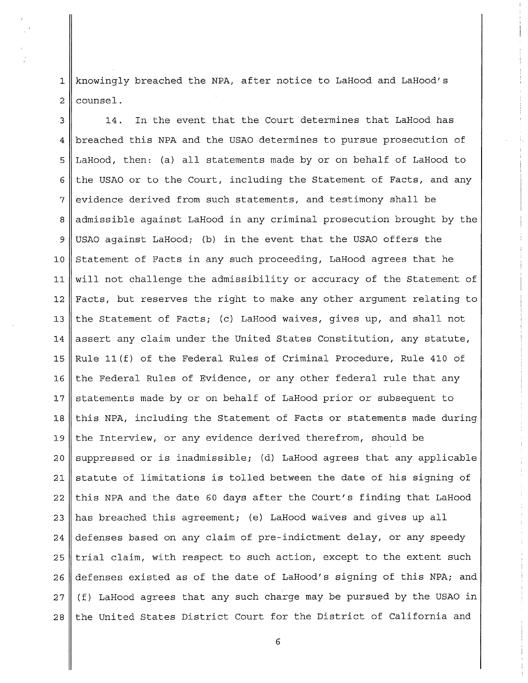1 knowingly breached the NPA, after notice to LaHood and LaHood's  $2 \parallel$  counsel.

 $3 \parallel$  14. In the event that the Court determines that LaHood has 4 breached this NPA and the USAO determines to pursue prosecution of 5 LaHood, then: (a) all statements made by or on behalf of LaHood to 6 the USAO or to the Court, including the Statement of Facts, and any 7 evidence derived from such statements, and testimony shall be 8 admissible against LaHood in any criminal prosecution brought by the 9 USAO against LaHood; (b) in the event that the USAO offers the 10 Statement of Facts in any such proceeding, LaHood agrees that he 11 will not challenge the admissibility or accuracy of the Statement of 12 Facts, but reserves the right to make any other argument relating to 13 the Statement of Facts; (c) LaHood waives, gives up, and shall not 14 assert any claim under the United States Constitution, any statute, 15  $\parallel$  Rule 11(f) of the Federal Rules of Criminal Procedure, Rule 410 of 16 the Federal Rules of Evidence, or any other federal rule that any 17 || statements made by or on behalf of LaHood prior or subsequent to 18 this NPA, including the Statement of Facts or statements made during 19 the Interview, or any evidence derived therefrom, should be  $20$  suppressed or is inadmissible; (d) LaHood agrees that any applicable 21 statute of limitations is tolled between the date of his signing of 22 this NPA and the date 60 days after the Court's finding that LaHood 23  $\parallel$  has breached this agreement; (e) LaHood waives and gives up all 24 defenses based on any claim of pre-indictment delay, or any speedy  $25$  trial claim, with respect to such action, except to the extent such 26 defenses existed as of the date of LaHood's signing of this NPA; and  $27$  (f) LaHood agrees that any such charge may be pursued by the USAO in  $28$  the United States District Court for the District of California and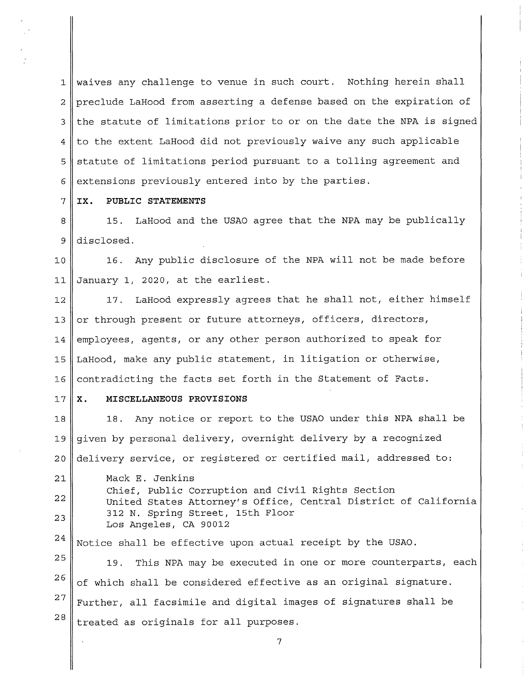1 || waives any challenge to venue in such court. Nothing herein shall 2 preclude LaHood from asserting a defense based on the expiration of  $3$  the statute of limitations prior to or on the date the NPA is signed  $4 \parallel$  to the extent LaHood did not previously waive any such applicable  $5$  statute of limitations period pursuant to a tolling agreement and  $6 \parallel$  extensions previously entered into by the parties.

7 **IX. PUBLIC STATEMENTS** 

8<sup>1</sup>815. LaHood and the USAO agree that the NPA may be publically 9 disclosed.

10 16. Any public disclosure of the NPA will not be made before 11 January 1, 2020, at the earliest.

12 || 17. LaHood expressly agrees that he shall not, either himself 13 or through present or future attorneys, officers, directors, 14 employees, agents, or any other person authorized to speak for 15 LaHood, make any public statement, in litigation or otherwise, 16 contradicting the facts set forth in the Statement of Facts.

#### 17 **x. MISCELLANEOUS PROVISIONS**

18 18. Any notice or report to the USAO under this NPA shall be 19 given by personal delivery, overnight delivery by a recognized 20 delivery service, or registered or certified mail, addressed to:

21 22 23

Mack E. Jenkins Chief, Public Corruption and Civil Rights Section United States Attorney's Office, Central District of California 312 N. Spring Street, 15th Floor Los Angeles, CA 90012

24 Notice shall be effective upon actual receipt by the USAO.

25 26 27 28 19. This NPA may be executed in one or more counterparts, each of which shall be considered effective as an original signature. Further, all facsimile and digital images of signatures shall be treated as originals for all purposes.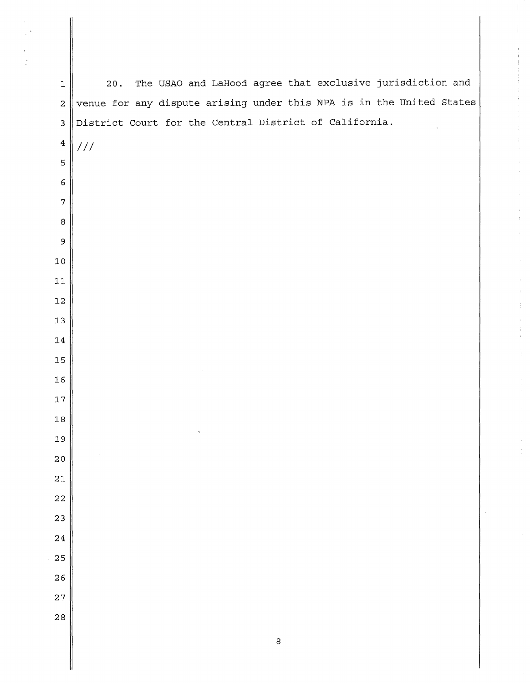$\parallel$  20. The USAO and LaHood agree that exclusive jurisdiction and  $2 \parallel$  venue for any dispute arising under this NPA is in the United States 3 District Court for the Central District of California. |  $11$  

 $\ddot{\mathrm{i}}$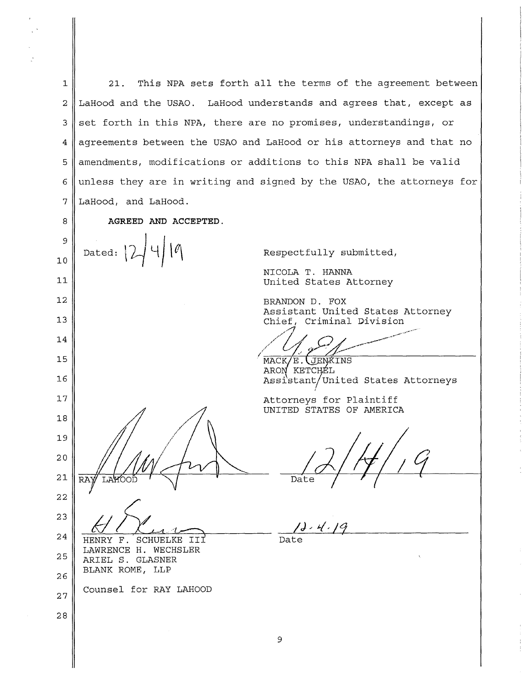1 21. This NPA sets forth all the terms of the agreement between 2 LaHood and the USAO. LaHood understands and agrees that, except as  $3 \parallel$  set forth in this NPA, there are no promises, understandings, or 4 | agreements between the USAO and LaHood or his attorneys and that no  $5$  amendments, modifications or additions to this NPA shall be valid 6 unless they are in writing and signed by the USAO, the attorneys for 7 LaHood, and LaHood.

8 **AGREED AND ACCEPTED.** 

9 Dated: 10 11 12 13 14 15 16 17 18 19 20 21 22 23 24 HENRY F. SCHUELKE III LAWRENCE H. WECHSLER 25 ARIEL S. GLASNER BLANK ROME, LLP 26 Counsel for RAY LAHOOD 27 28

Respectfully submitted,

NICOLA T. HANNA United States Attorney

BRANDON D. FOX Assistant United States Attorney Chief, Criminal Division

..,,..,..,,,-- ----•-••A•~•·- /

 $MACK/E$ .  $JENKINS$ ARON KETCHÉL Assistant/united States Attorneys I

Attorneys for Plaintiff UNITED STATES OF AMERICA

Date

Date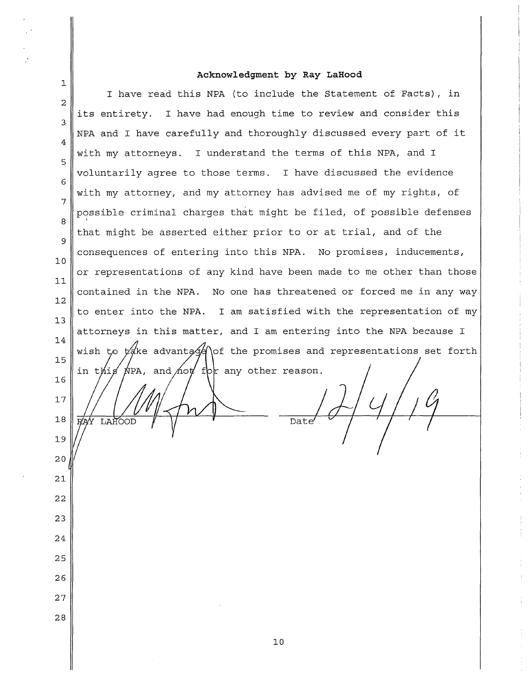# **Acknowledgment by Ray LaHood**

 $\mathbb{R}^2$ 

| 1              |                                                                       |
|----------------|-----------------------------------------------------------------------|
| $\overline{a}$ | I have read this NPA (to include the Statement of Facts), in          |
| 3              | its entirety. I have had enough time to review and consider this      |
| 4              | NPA and I have carefully and thoroughly discussed every part of it    |
| 5              | with my attorneys. I understand the terms of this NPA, and I          |
| 6              | voluntarily agree to those terms. I have discussed the evidence       |
| 7              | with my attorney, and my attorney has advised me of my rights, of     |
| 8              | possible criminal charges that might be filed, of possible defenses   |
| 9              | that might be asserted either prior to or at trial, and of the        |
| 10             | consequences of entering into this NPA. No promises, inducements,     |
| 11             | or representations of any kind have been made to me other than those  |
| 12             | contained in the NPA. No one has threatened or forced me in any way   |
| 13             | to enter into the NPA. I am satisfied with the representation of my   |
| 14             | attorneys in this matter, and I am entering into the NPA because I    |
| 15             | wish to $\nu$ advantage of the promises and representations set forth |
| 16             | in this NPA, and hot for any other reason.                            |
| 17             |                                                                       |
| 18             | Date<br>LAHOOD                                                        |
| 19             |                                                                       |
| 20             |                                                                       |
| 21             |                                                                       |
| 22             |                                                                       |
| 23             |                                                                       |
| 24             |                                                                       |
| 25             |                                                                       |
| 26             |                                                                       |
| 27             |                                                                       |
| 28             |                                                                       |
|                | 10                                                                    |
|                |                                                                       |

 $\frac{1}{2}$  $\frac{1}{2}$ 

÷  $\frac{1}{2}$ 

 $\frac{1}{3}$ 

 $\frac{1}{2}$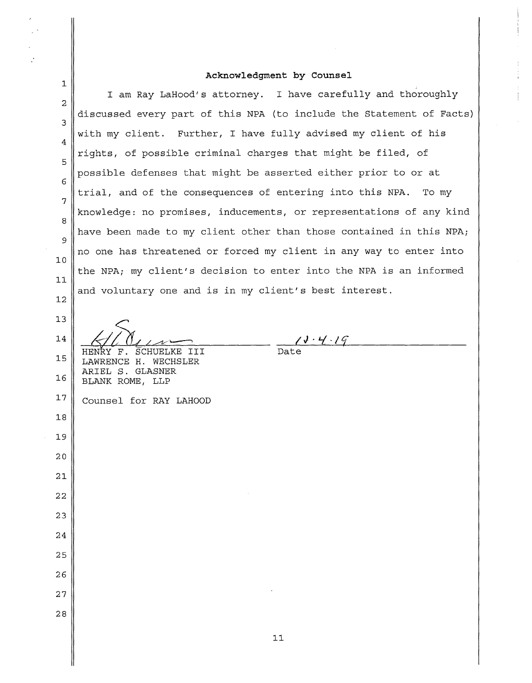# **Acknowledgment by Counsel**

Ť  $\frac{1}{4}$ 

 $\mathbf{I}$ 

 $\overline{r}$ 

 $\ddot{\cdot}$ 

 $\sim$ 

 $\mathbf{I}$ 

| 1              |                                                                      |
|----------------|----------------------------------------------------------------------|
| $\overline{c}$ | I am Ray LaHood's attorney. I have carefully and thoroughly          |
| 3              | discussed every part of this NPA (to include the Statement of Facts) |
| 4              | with my client. Further, I have fully advised my client of his       |
| 5              | rights, of possible criminal charges that might be filed, of         |
| 6              | possible defenses that might be asserted either prior to or at       |
| 7              | trial, and of the consequences of entering into this NPA. To my      |
| 8              | knowledge: no promises, inducements, or representations of any kind  |
| 9              | have been made to my client other than those contained in this NPA;  |
| 10             | no one has threatened or forced my client in any way to enter into   |
| 11             | the NPA; my client's decision to enter into the NPA is an informed   |
| 12             | and voluntary one and is in my client's best interest.               |
|                |                                                                      |
| 13             |                                                                      |
| 14             | 18.4.19<br>HENRY F.<br>SCHUELKE<br>III                               |
| 15             | LAWRENCE H. WECHSLER<br>ARIEL S. GLASNER                             |
| 16             | BLANK ROME, LLP                                                      |
| 17             | Counsel for RAY LAHOOD                                               |
| 18             |                                                                      |
| 19             |                                                                      |
| 20             |                                                                      |
| 21             |                                                                      |
| 22             |                                                                      |
| 23             |                                                                      |
| 24             |                                                                      |
| 25             |                                                                      |
| 26             |                                                                      |
| 27             |                                                                      |
| 28             |                                                                      |
|                |                                                                      |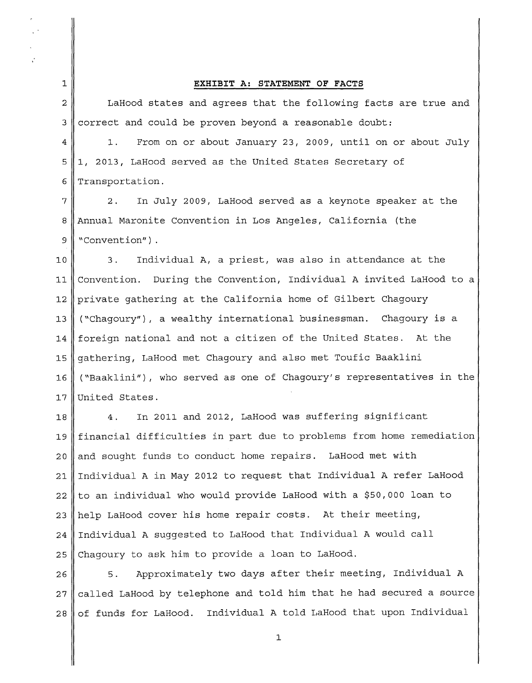#### 1 **EXHIBIT A: STATEMENT OF FACTS**

2 LaHood states and agrees that the following facts are true and  $3 \text{$  correct and could be proven beyond a reasonable doubt:

4 1. From on or about January 23, 2009, until on or about July 5 1, 2013, LaHood served as the United States Secretary of 6 Transportation.

 $7$  | 2. In July 2009, LaHood served as a keynote speaker at the 8 Annual Maronite Convention in Los Angeles, California (the 9 || "Convention" ).

10 3. Individual A, a priest, was also in attendance at the 11 Convention. During the Convention, Individual A invited LaHood to a 12 private gathering at the California home of Gilbert Chagoury 13 ("Chagoury"), a wealthy international businessman. Chagoury is a 14 foreign national and not a citizen of the United States. At the 15 gathering, LaHood met Chagoury and also met Toufic Baaklini 16 ("Baaklini"), who served as one of Chagoury's representatives in the 17 United States.

18 4. In 2011 and 2012, LaHood was suffering significant 19 financial difficulties in part due to problems from home remediation  $20$  and sought funds to conduct home repairs. LaHood met with 21 Individual A in May 2012 to request that Individual A refer LaHood  $22$  to an individual who would provide LaHood with a \$50,000 loan to 23 || help LaHood cover his home repair costs. At their meeting, 24 Individual A suggested to LaHood that Individual A would call  $25$  Chagoury to ask him to provide a loan to LaHood.

26 capacimately two days after their meeting, Individual A  $27$  called LaHood by telephone and told him that he had secured a source  $28 \parallel$  of funds for LaHood. Individual A told LaHood that upon Individual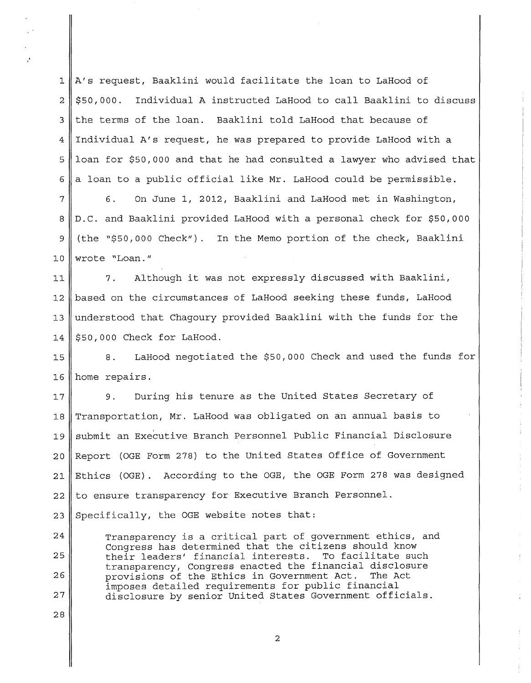1 A's request, Baaklini would facilitate the loan to LaHood of  $2 \parallel $50,000$ . Individual A instructed LaHood to call Baaklini to discuss 3 the terms of the loan. Baaklini told LaHood that because of 4 Individual A's request, he was prepared to provide LaHood with a  $5$  loan for \$50,000 and that he had consulted a lawyer who advised that 6 a loan to a public official like Mr. LaHood could be permissible.

<sup>7</sup>6. On June 1, 2012, Baaklini and LaHood met in Washington, 8 D.C. and Baaklini provided LaHood with a personal check for \$50,000 9 (the "\$50,000 Check"). In the Memo portion of the check, Baaklini 10 wrote "Loan."

11 7. Although it was not expressly discussed with Baaklini, 12 based on the circumstances of LaHood seeking these funds, LaHood 13 understood that Chagoury provided Baaklini with the funds for the  $14 \parallel $50,000$  Check for LaHood.

15 8. LaHood negotiated the \$50,000 Check and used the funds for 16 home repairs.

17 9. During his tenure as the United States Secretary of 18 Transportation, Mr. LaHood was obligated on an annual basis to 19 | submit an Executive Branch Personnel Public Financial Disclosure 20 Report (OGE Form 278) to the United States Office of Government 21 Ethics (OGE). According to the OGE, the OGE Form 278 was designed 22 23 to ensure transparency for Executive Branch Personnel. Specifically, the OGE website notes that:

Transparency is a critical part of government ethics, and Congress has determined that the citizens should know their leaders' financial interests. To facilitate such transparency, Congress enacted the financial disclosure provisions of the Ethics in Government Act. imposes detailed requirements for public financial disclosure by senior United States Government officials.

24

25

26

27

28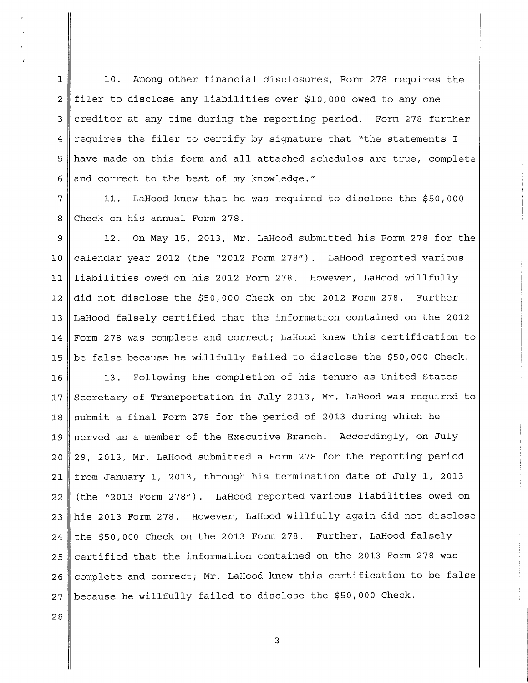1 || 10. Among other financial disclosures, Form 278 requires the 2 filer to disclose any liabilities over \$10,000 owed to any one 3 creditor at any time during the reporting period. Form 278 further 4 requires the filer to certify by signature that "the statements I 5 have made on this form and all attached schedules are true, complete 6 and correct to the best of my knowledge."

7 11. LaHood knew that he was required to disclose the \$50,000 8 Check on his annual Form 278.

 $9 \parallel$  12. On May 15, 2013, Mr. LaHood submitted his Form 278 for the 10 calendar year 2012 (the "2012 Form 278"). LaHood reported various 11 liabilities owed on his 2012 Form 278. However, LaHood willfully 12 did not disclose the \$50,000 Check on the 2012 Form 278. Further 13 LaHood falsely certified that the information contained on the 2012 14 Form 278 was complete and correct; LaHood knew this certification to 15  $\parallel$  be false because he willfully failed to disclose the \$50,000 Check.

16 || 13. Following the completion of his tenure as United States 17 Secretary of Transportation in July 2013, Mr. LaHood was required to 18 || submit a final Form 278 for the period of 2013 during which he 19 served as a member of the Executive Branch. Accordingly, on July 20 29, 2013, Mr. LaHood submitted a Form 278 for the reporting period 21 from January 1, 2013, through his termination date of July 1, 2013 22 (the "2013 Form 278"). LaHood reported various liabilities owed on 23 his 2013 Form 278. However, LaHood willfully again did not disclose  $24$  the \$50,000 Check on the 2013 Form 278. Further, LaHood falsely  $25$  certified that the information contained on the 2013 Form 278 was 26 | complete and correct; Mr. LaHood knew this certification to be false  $27$  because he willfully failed to disclose the \$50,000 Check.

**28**